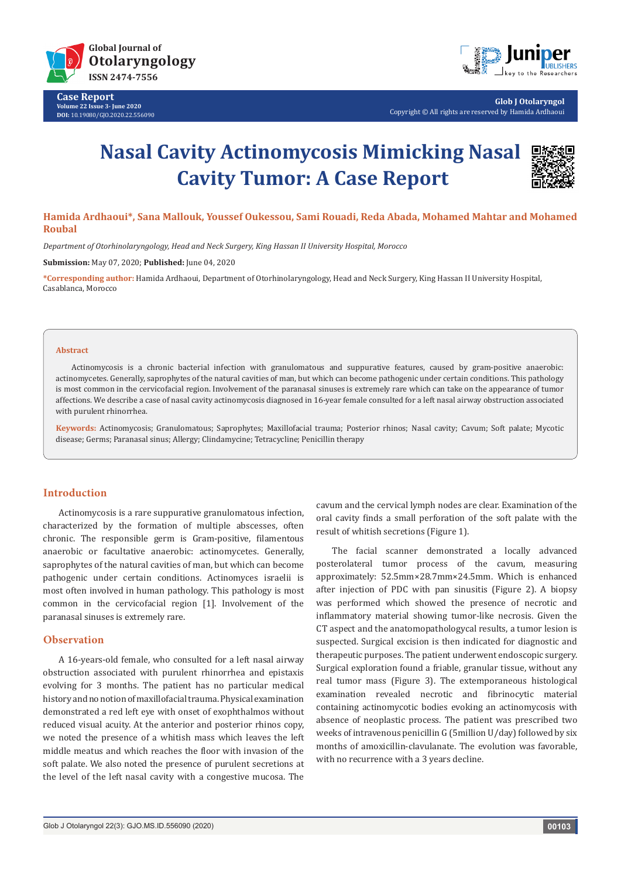

**Case Report Volume 22 Issue 3- June 2020 DOI:** [10.19080/GJO.2020.22.55609](http://dx.doi.org/10.19080/GJO.2020.22.556090)0



**Glob J Otolaryngol** Copyright © All rights are reserved by Hamida Ardhaoui

# **Nasal Cavity Actinomycosis Mimicking Nasal Cavity Tumor: A Case Report**



# **Hamida Ardhaoui\*, Sana Mallouk, Youssef Oukessou, Sami Rouadi, Reda Abada, Mohamed Mahtar and Mohamed Roubal**

*Department of Otorhinolaryngology, Head and Neck Surgery, King Hassan II University Hospital, Morocco*

**Submission:** May 07, 2020; **Published:** June 04, 2020

**\*Corresponding author:** Hamida Ardhaoui, Department of Otorhinolaryngology, Head and Neck Surgery, King Hassan II University Hospital, Casablanca, Morocco

#### **Abstract**

Actinomycosis is a chronic bacterial infection with granulomatous and suppurative features, caused by gram-positive anaerobic: actinomycetes. Generally, saprophytes of the natural cavities of man, but which can become pathogenic under certain conditions. This pathology is most common in the cervicofacial region. Involvement of the paranasal sinuses is extremely rare which can take on the appearance of tumor affections. We describe a case of nasal cavity actinomycosis diagnosed in 16-year female consulted for a left nasal airway obstruction associated with purulent rhinorrhea.

**Keywords:** Actinomycosis; Granulomatous; Saprophytes; Maxillofacial trauma; Posterior rhinos; Nasal cavity; Cavum; Soft palate; Mycotic disease; Germs; Paranasal sinus; Allergy; Clindamycine; Tetracycline; Penicillin therapy

### **Introduction**

Actinomycosis is a rare suppurative granulomatous infection, characterized by the formation of multiple abscesses, often chronic. The responsible germ is Gram-positive, filamentous anaerobic or facultative anaerobic: actinomycetes. Generally, saprophytes of the natural cavities of man, but which can become pathogenic under certain conditions. Actinomyces israelii is most often involved in human pathology. This pathology is most common in the cervicofacial region [1]. Involvement of the paranasal sinuses is extremely rare.

## **Observation**

A 16-years-old female, who consulted for a left nasal airway obstruction associated with purulent rhinorrhea and epistaxis evolving for 3 months. The patient has no particular medical history and no notion of maxillofacial trauma. Physical examination demonstrated a red left eye with onset of exophthalmos without reduced visual acuity. At the anterior and posterior rhinos copy, we noted the presence of a whitish mass which leaves the left middle meatus and which reaches the floor with invasion of the soft palate. We also noted the presence of purulent secretions at the level of the left nasal cavity with a congestive mucosa. The

cavum and the cervical lymph nodes are clear. Examination of the oral cavity finds a small perforation of the soft palate with the result of whitish secretions (Figure 1).

The facial scanner demonstrated a locally advanced posterolateral tumor process of the cavum, measuring approximately: 52.5mm×28.7mm×24.5mm. Which is enhanced after injection of PDC with pan sinusitis (Figure 2). A biopsy was performed which showed the presence of necrotic and inflammatory material showing tumor-like necrosis. Given the CT aspect and the anatomopathologycal results, a tumor lesion is suspected. Surgical excision is then indicated for diagnostic and therapeutic purposes. The patient underwent endoscopic surgery. Surgical exploration found a friable, granular tissue, without any real tumor mass (Figure 3). The extemporaneous histological examination revealed necrotic and fibrinocytic material containing actinomycotic bodies evoking an actinomycosis with absence of neoplastic process. The patient was prescribed two weeks of intravenous penicillin G (5million U/day) followed by six months of amoxicillin-clavulanate. The evolution was favorable, with no recurrence with a 3 years decline.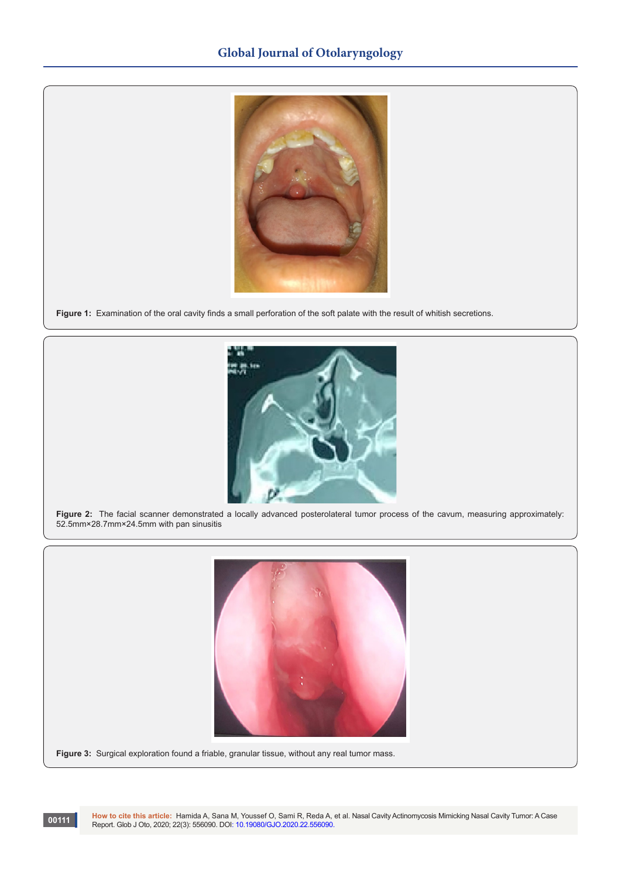

**Figure 1:** Examination of the oral cavity finds a small perforation of the soft palate with the result of whitish secretions.



**Figure 2:** The facial scanner demonstrated a locally advanced posterolateral tumor process of the cavum, measuring approximately: 52.5mm×28.7mm×24.5mm with pan sinusitis



Figure 3: Surgical exploration found a friable, granular tissue, without any real tumor mass.

**00111**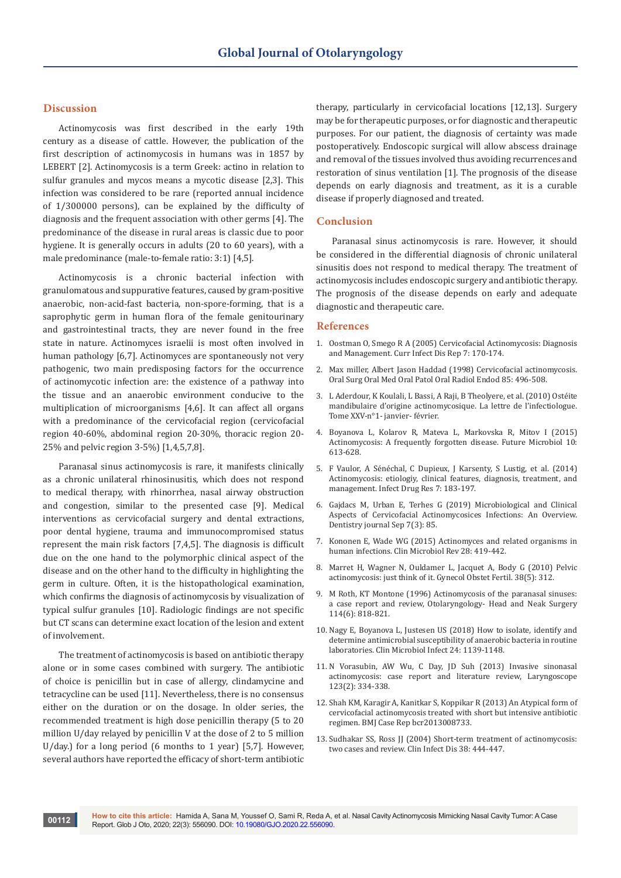# **Discussion**

Actinomycosis was first described in the early 19th century as a disease of cattle. However, the publication of the first description of actinomycosis in humans was in 1857 by LEBERT [2]. Actinomycosis is a term Greek: actino in relation to sulfur granules and mycos means a mycotic disease [2,3]. This infection was considered to be rare (reported annual incidence of 1/300000 persons), can be explained by the difficulty of diagnosis and the frequent association with other germs [4]. The predominance of the disease in rural areas is classic due to poor hygiene. It is generally occurs in adults (20 to 60 years), with a male predominance (male-to-female ratio: 3:1) [4,5].

Actinomycosis is a chronic bacterial infection with granulomatous and suppurative features, caused by gram-positive anaerobic, non-acid-fast bacteria, non-spore-forming, that is a saprophytic germ in human flora of the female genitourinary and gastrointestinal tracts, they are never found in the free state in nature. Actinomyces israelii is most often involved in human pathology [6,7]. Actinomyces are spontaneously not very pathogenic, two main predisposing factors for the occurrence of actinomycotic infection are: the existence of a pathway into the tissue and an anaerobic environment conducive to the multiplication of microorganisms [4,6]. It can affect all organs with a predominance of the cervicofacial region (cervicofacial region 40-60%, abdominal region 20-30%, thoracic region 20- 25% and pelvic region 3-5%) [1,4,5,7,8].

Paranasal sinus actinomycosis is rare, it manifests clinically as a chronic unilateral rhinosinusitis, which does not respond to medical therapy, with rhinorrhea, nasal airway obstruction and congestion, similar to the presented case [9]. Medical interventions as cervicofacial surgery and dental extractions, poor dental hygiene, trauma and immunocompromised status represent the main risk factors [7,4,5]. The diagnosis is difficult due on the one hand to the polymorphic clinical aspect of the disease and on the other hand to the difficulty in highlighting the germ in culture. Often, it is the histopathological examination, which confirms the diagnosis of actinomycosis by visualization of typical sulfur granules [10]. Radiologic findings are not specific but CT scans can determine exact location of the lesion and extent of involvement.

The treatment of actinomycosis is based on antibiotic therapy alone or in some cases combined with surgery. The antibiotic of choice is penicillin but in case of allergy, clindamycine and tetracycline can be used [11]. Nevertheless, there is no consensus either on the duration or on the dosage. In older series, the recommended treatment is high dose penicillin therapy (5 to 20 million U/day relayed by penicillin V at the dose of 2 to 5 million U/day.) for a long period (6 months to 1 year) [5,7]. However, several authors have reported the efficacy of short-term antibiotic therapy, particularly in cervicofacial locations [12,13]. Surgery may be for therapeutic purposes, or for diagnostic and therapeutic purposes. For our patient, the diagnosis of certainty was made postoperatively. Endoscopic surgical will allow abscess drainage and removal of the tissues involved thus avoiding recurrences and restoration of sinus ventilation [1]. The prognosis of the disease depends on early diagnosis and treatment, as it is a curable disease if properly diagnosed and treated.

### **Conclusion**

Paranasal sinus actinomycosis is rare. However, it should be considered in the differential diagnosis of chronic unilateral sinusitis does not respond to medical therapy. The treatment of actinomycosis includes endoscopic surgery and antibiotic therapy. The prognosis of the disease depends on early and adequate diagnostic and therapeutic care.

#### **References**

- 1. [Oostman O, Smego R A \(2005\) Cervicofacial Actinomycosis: Diagnosis](https://pubmed.ncbi.nlm.nih.gov/15847718/)  [and Management. Curr Infect Dis Rep 7: 170-174.](https://pubmed.ncbi.nlm.nih.gov/15847718/)
- 2. [Max miller, Albert Jason Haddad \(1998\) Cervicofacial actinomycosis.](https://www.sciencedirect.com/science/article/abs/pii/S1079210498902803)  [Oral Surg Oral Med Oral Patol Oral Radiol Endod 85: 496-508.](https://www.sciencedirect.com/science/article/abs/pii/S1079210498902803)
- 3. L Aderdour, K Koulali, L Bassi, A Raji, B Theolyere, et al. (2010) Ostéite mandibulaire d'origine actinomycosique. La lettre de l'infectiologue. Tome XXV-n°1- janvier- février.
- 4. [Boyanova L, Kolarov R, Mateva L, Markovska R, Mitov I \(2O15\)](https://pubmed.ncbi.nlm.nih.gov/25865197/)  [Actinomycosis: A frequently forgotten disease. Future Microbiol 10:](https://pubmed.ncbi.nlm.nih.gov/25865197/)  [613-628.](https://pubmed.ncbi.nlm.nih.gov/25865197/)
- 5. [F Vaulor, A Sénéchal, C Dupieux, J Karsenty, S Lustig, et al. \(2014\)](https://pubmed.ncbi.nlm.nih.gov/25045274/)  [Actinomycosis: etiologiy, clinical features, diagnosis, treatment, and](https://pubmed.ncbi.nlm.nih.gov/25045274/)  [management. Infect Drug Res 7: 183-197.](https://pubmed.ncbi.nlm.nih.gov/25045274/)
- 6. [Gajdacs M, Urban E, Terhes G \(2019\) Microbiological and Clinical](https://pubmed.ncbi.nlm.nih.gov/31480587/)  [Aspects of Cervicofacial Actinomycosices Infections: An Overview.](https://pubmed.ncbi.nlm.nih.gov/31480587/)  [Dentistry journal Sep 7\(3\): 85.](https://pubmed.ncbi.nlm.nih.gov/31480587/)
- 7. [Kononen E, Wade WG \(2015\) Actinomyces and related organisms in](https://pubmed.ncbi.nlm.nih.gov/25788515/)  [human infections. Clin Microbiol Rev 28: 419-442.](https://pubmed.ncbi.nlm.nih.gov/25788515/)
- 8. [Marret H, Wagner N, Ouldamer L, Jacquet A, Body G \(2010\) Pelvic](https://pubmed.ncbi.nlm.nih.gov/20430667/)  [actinomycosis: just think of it. Gynecol Obstet Fertil. 38\(5\): 312.](https://pubmed.ncbi.nlm.nih.gov/20430667/)
- 9. [M Roth, KT Montone \(1996\) Actinomycosis of the paranasal sinuses:](https://pubmed.ncbi.nlm.nih.gov/8643310/)  [a case report and review, Otolaryngology- Head and Neak Surgery](https://pubmed.ncbi.nlm.nih.gov/8643310/)  [114\(6\): 818-821.](https://pubmed.ncbi.nlm.nih.gov/8643310/)
- 10. [Nagy E, Boyanova L, Justesen US \(2018\) How to isolate, identify and](https://pubmed.ncbi.nlm.nih.gov/29458156/)  [determine antimicrobial susceptibility of anaerobic bacteria in routine](https://pubmed.ncbi.nlm.nih.gov/29458156/)  [laboratories. Clin Microbiol Infect 24: 1139-1148.](https://pubmed.ncbi.nlm.nih.gov/29458156/)
- 11. [N Vorasubin, AW Wu, C Day, JD Suh \(2013\) Invasive sinonasal](https://pubmed.ncbi.nlm.nih.gov/23008010/)  [actinomycosis: case report and literature review, Laryngoscope](https://pubmed.ncbi.nlm.nih.gov/23008010/)  [123\(2\): 334-338.](https://pubmed.ncbi.nlm.nih.gov/23008010/)
- 12. [Shah KM, Karagir A, Kanitkar S, Koppikar R \(2013\) An Atypical form of](https://pubmed.ncbi.nlm.nih.gov/23580677/)  [cervicofacial actinomycosis treated with short but intensive antibiotic](https://pubmed.ncbi.nlm.nih.gov/23580677/)  [regimen. BMJ Case Rep bcr2013008733.](https://pubmed.ncbi.nlm.nih.gov/23580677/)
- 13. [Sudhakar SS, Ross JJ \(2004\) Short-term treatment of actinomycosis:](https://pubmed.ncbi.nlm.nih.gov/14727221/)  [two cases and review. Clin Infect Dis 38: 444-447.](https://pubmed.ncbi.nlm.nih.gov/14727221/)